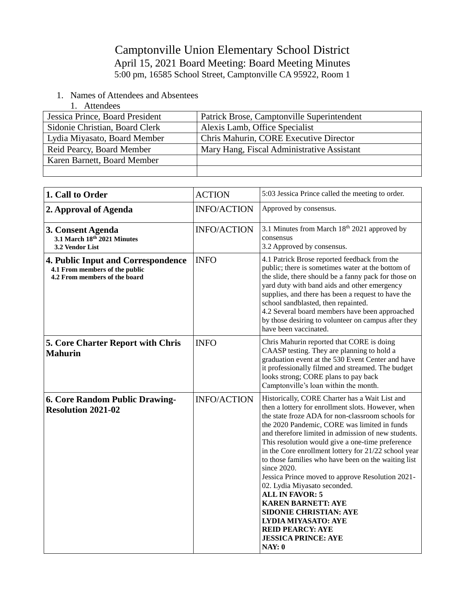Camptonville Union Elementary School District April 15, 2021 Board Meeting: Board Meeting Minutes 5:00 pm, 16585 School Street, Camptonville CA 95922, Room 1

- 1. Names of Attendees and Absentees
	- 1. Attendees

| Jessica Prince, Board President | Patrick Brose, Camptonville Superintendent |
|---------------------------------|--------------------------------------------|
| Sidonie Christian, Board Clerk  | Alexis Lamb, Office Specialist             |
| Lydia Miyasato, Board Member    | Chris Mahurin, CORE Executive Director     |
| Reid Pearcy, Board Member       | Mary Hang, Fiscal Administrative Assistant |
| Karen Barnett, Board Member     |                                            |
|                                 |                                            |

| 1. Call to Order                                                                                      | <b>ACTION</b>      | 5:03 Jessica Prince called the meeting to order.                                                                                                                                                                                                                                                                                                                                                                                                                                                                                                                                                                                                                                                                                |
|-------------------------------------------------------------------------------------------------------|--------------------|---------------------------------------------------------------------------------------------------------------------------------------------------------------------------------------------------------------------------------------------------------------------------------------------------------------------------------------------------------------------------------------------------------------------------------------------------------------------------------------------------------------------------------------------------------------------------------------------------------------------------------------------------------------------------------------------------------------------------------|
| 2. Approval of Agenda                                                                                 | <b>INFO/ACTION</b> | Approved by consensus.                                                                                                                                                                                                                                                                                                                                                                                                                                                                                                                                                                                                                                                                                                          |
| 3. Consent Agenda<br>3.1 March 18th 2021 Minutes<br>3.2 Vendor List                                   | <b>INFO/ACTION</b> | 3.1 Minutes from March 18th 2021 approved by<br>consensus<br>3.2 Approved by consensus.                                                                                                                                                                                                                                                                                                                                                                                                                                                                                                                                                                                                                                         |
| 4. Public Input and Correspondence<br>4.1 From members of the public<br>4.2 From members of the board | <b>INFO</b>        | 4.1 Patrick Brose reported feedback from the<br>public; there is sometimes water at the bottom of<br>the slide, there should be a fanny pack for those on<br>yard duty with band aids and other emergency<br>supplies, and there has been a request to have the<br>school sandblasted, then repainted.<br>4.2 Several board members have been approached<br>by those desiring to volunteer on campus after they<br>have been vaccinated.                                                                                                                                                                                                                                                                                        |
| 5. Core Charter Report with Chris<br><b>Mahurin</b>                                                   | <b>INFO</b>        | Chris Mahurin reported that CORE is doing<br>CAASP testing. They are planning to hold a<br>graduation event at the 530 Event Center and have<br>it professionally filmed and streamed. The budget<br>looks strong; CORE plans to pay back<br>Camptonville's loan within the month.                                                                                                                                                                                                                                                                                                                                                                                                                                              |
| 6. Core Random Public Drawing-<br><b>Resolution 2021-02</b>                                           | <b>INFO/ACTION</b> | Historically, CORE Charter has a Wait List and<br>then a lottery for enrollment slots. However, when<br>the state froze ADA for non-classroom schools for<br>the 2020 Pandemic, CORE was limited in funds<br>and therefore limited in admission of new students.<br>This resolution would give a one-time preference<br>in the Core enrollment lottery for 21/22 school year<br>to those families who have been on the waiting list<br>since 2020.<br>Jessica Prince moved to approve Resolution 2021-<br>02. Lydia Miyasato seconded.<br><b>ALL IN FAVOR: 5</b><br><b>KAREN BARNETT: AYE</b><br>SIDONIE CHRISTIAN: AYE<br><b>LYDIA MIYASATO: AYE</b><br><b>REID PEARCY: AYE</b><br><b>JESSICA PRINCE: AYE</b><br><b>NAY: 0</b> |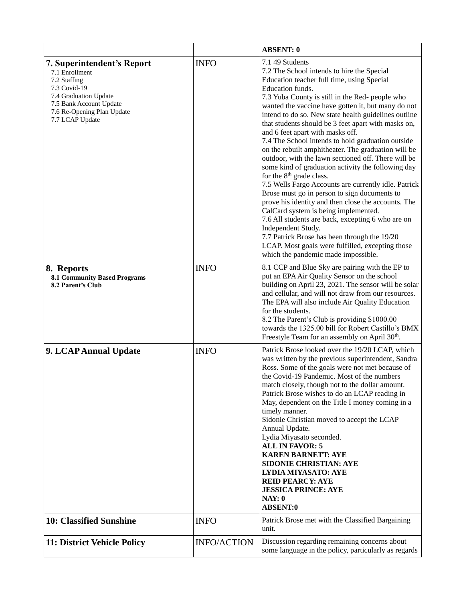|                                                                                                                                                                                   |                    | <b>ABSENT: 0</b>                                                                                                                                                                                                                                                                                                                                                                                                                                                                                                                                                                                                                                                                                                                                                                                                                                                                                                                                                                                                                                                                          |
|-----------------------------------------------------------------------------------------------------------------------------------------------------------------------------------|--------------------|-------------------------------------------------------------------------------------------------------------------------------------------------------------------------------------------------------------------------------------------------------------------------------------------------------------------------------------------------------------------------------------------------------------------------------------------------------------------------------------------------------------------------------------------------------------------------------------------------------------------------------------------------------------------------------------------------------------------------------------------------------------------------------------------------------------------------------------------------------------------------------------------------------------------------------------------------------------------------------------------------------------------------------------------------------------------------------------------|
| 7. Superintendent's Report<br>7.1 Enrollment<br>7.2 Staffing<br>7.3 Covid-19<br>7.4 Graduation Update<br>7.5 Bank Account Update<br>7.6 Re-Opening Plan Update<br>7.7 LCAP Update | <b>INFO</b>        | 7.1 49 Students<br>7.2 The School intends to hire the Special<br>Education teacher full time, using Special<br>Education funds.<br>7.3 Yuba County is still in the Red- people who<br>wanted the vaccine have gotten it, but many do not<br>intend to do so. New state health guidelines outline<br>that students should be 3 feet apart with masks on,<br>and 6 feet apart with masks off.<br>7.4 The School intends to hold graduation outside<br>on the rebuilt amphitheater. The graduation will be<br>outdoor, with the lawn sectioned off. There will be<br>some kind of graduation activity the following day<br>for the 8 <sup>th</sup> grade class.<br>7.5 Wells Fargo Accounts are currently idle. Patrick<br>Brose must go in person to sign documents to<br>prove his identity and then close the accounts. The<br>CalCard system is being implemented.<br>7.6 All students are back, excepting 6 who are on<br>Independent Study.<br>7.7 Patrick Brose has been through the 19/20<br>LCAP. Most goals were fulfilled, excepting those<br>which the pandemic made impossible. |
| 8. Reports<br><b>8.1 Community Based Programs</b><br>8.2 Parent's Club                                                                                                            | <b>INFO</b>        | 8.1 CCP and Blue Sky are pairing with the EP to<br>put an EPA Air Quality Sensor on the school<br>building on April 23, 2021. The sensor will be solar<br>and cellular, and will not draw from our resources.<br>The EPA will also include Air Quality Education<br>for the students.<br>8.2 The Parent's Club is providing \$1000.00<br>towards the 1325.00 bill for Robert Castillo's BMX<br>Freestyle Team for an assembly on April 30 <sup>th</sup> .                                                                                                                                                                                                                                                                                                                                                                                                                                                                                                                                                                                                                                 |
| 9. LCAP Annual Update                                                                                                                                                             | <b>INFO</b>        | Patrick Brose looked over the 19/20 LCAP, which<br>was written by the previous superintendent, Sandra<br>Ross. Some of the goals were not met because of<br>the Covid-19 Pandemic. Most of the numbers<br>match closely, though not to the dollar amount.<br>Patrick Brose wishes to do an LCAP reading in<br>May, dependent on the Title I money coming in a<br>timely manner.<br>Sidonie Christian moved to accept the LCAP<br>Annual Update.<br>Lydia Miyasato seconded.<br><b>ALL IN FAVOR: 5</b><br><b>KAREN BARNETT: AYE</b><br><b>SIDONIE CHRISTIAN: AYE</b><br><b>LYDIA MIYASATO: AYE</b><br><b>REID PEARCY: AYE</b><br><b>JESSICA PRINCE: AYE</b><br>NAY: 0<br><b>ABSENT:0</b>                                                                                                                                                                                                                                                                                                                                                                                                   |
| <b>10: Classified Sunshine</b>                                                                                                                                                    | <b>INFO</b>        | Patrick Brose met with the Classified Bargaining<br>unit.                                                                                                                                                                                                                                                                                                                                                                                                                                                                                                                                                                                                                                                                                                                                                                                                                                                                                                                                                                                                                                 |
| 11: District Vehicle Policy                                                                                                                                                       | <b>INFO/ACTION</b> | Discussion regarding remaining concerns about<br>some language in the policy, particularly as regards                                                                                                                                                                                                                                                                                                                                                                                                                                                                                                                                                                                                                                                                                                                                                                                                                                                                                                                                                                                     |